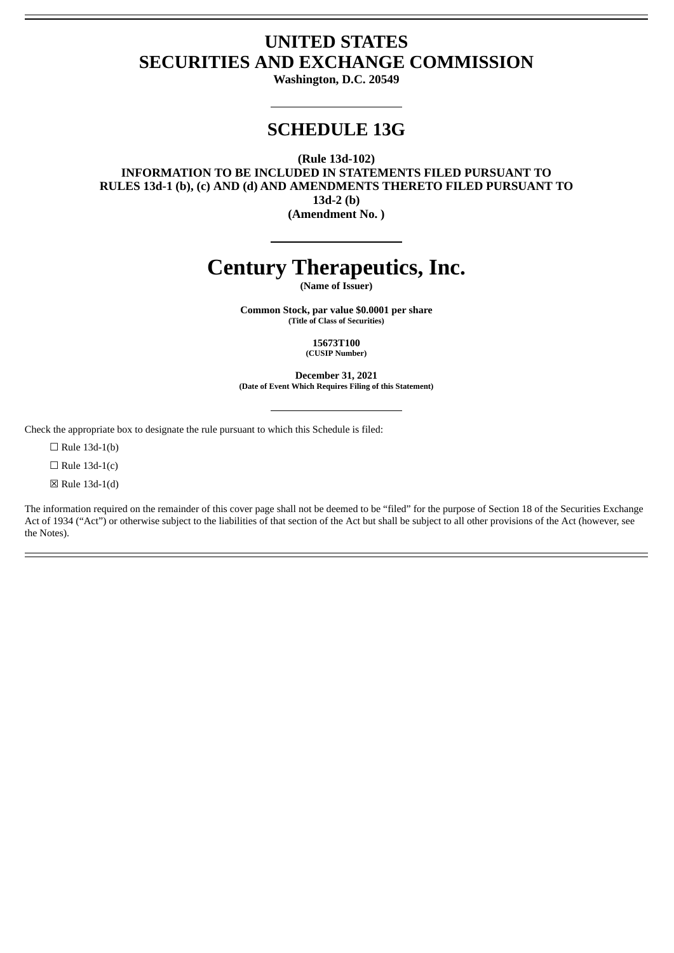## **UNITED STATES SECURITIES AND EXCHANGE COMMISSION**

**Washington, D.C. 20549**

### **SCHEDULE 13G**

**(Rule 13d-102)**

**INFORMATION TO BE INCLUDED IN STATEMENTS FILED PURSUANT TO RULES 13d-1 (b), (c) AND (d) AND AMENDMENTS THERETO FILED PURSUANT TO 13d-2 (b) (Amendment No. )**

# **Century Therapeutics, Inc.**

**(Name of Issuer)**

**Common Stock, par value \$0.0001 per share (Title of Class of Securities)**

> **15673T100 (CUSIP Number)**

**December 31, 2021 (Date of Event Which Requires Filing of this Statement)**

Check the appropriate box to designate the rule pursuant to which this Schedule is filed:

 $\Box$  Rule 13d-1(b)

 $\Box$  Rule 13d-1(c)

☒ Rule 13d-1(d)

The information required on the remainder of this cover page shall not be deemed to be "filed" for the purpose of Section 18 of the Securities Exchange Act of 1934 ("Act") or otherwise subject to the liabilities of that section of the Act but shall be subject to all other provisions of the Act (however, see the Notes).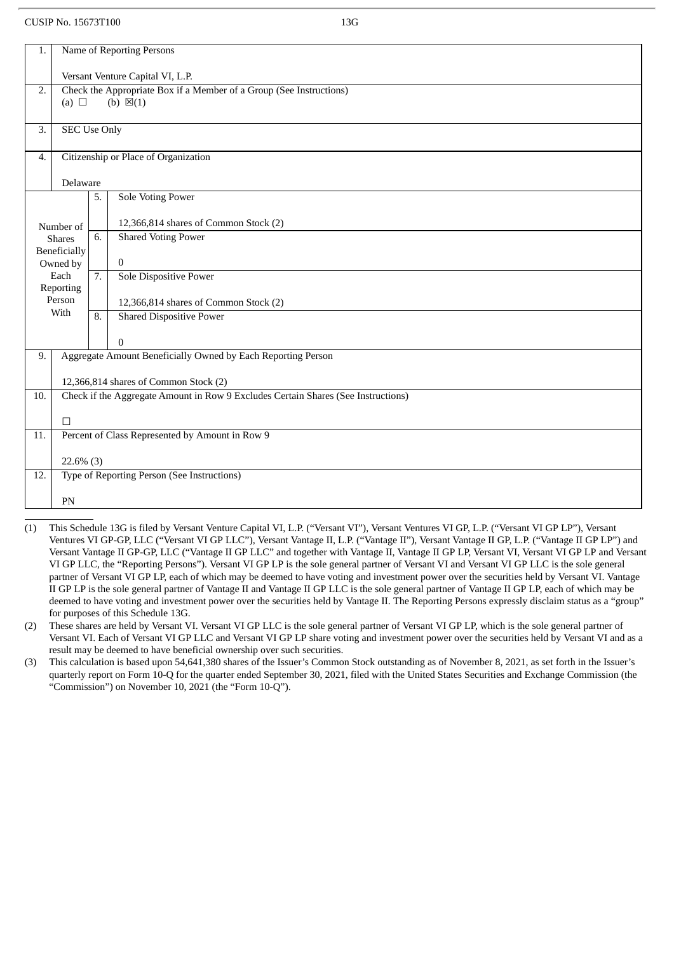| 1.                                       | Name of Reporting Persons                                                                                |    |                                                              |  |  |
|------------------------------------------|----------------------------------------------------------------------------------------------------------|----|--------------------------------------------------------------|--|--|
|                                          | Versant Venture Capital VI, L.P.                                                                         |    |                                                              |  |  |
| 2.                                       | Check the Appropriate Box if a Member of a Group (See Instructions)<br>(b) $\boxtimes$ (1)<br>(a) $\Box$ |    |                                                              |  |  |
|                                          |                                                                                                          |    |                                                              |  |  |
| 3.                                       | <b>SEC Use Only</b>                                                                                      |    |                                                              |  |  |
| 4.                                       | Citizenship or Place of Organization                                                                     |    |                                                              |  |  |
|                                          | Delaware                                                                                                 |    |                                                              |  |  |
|                                          |                                                                                                          | 5. | <b>Sole Voting Power</b>                                     |  |  |
|                                          | Number of                                                                                                |    | 12,366,814 shares of Common Stock (2)                        |  |  |
|                                          | <b>Shares</b>                                                                                            | 6. | <b>Shared Voting Power</b>                                   |  |  |
| Beneficially<br>$\mathbf{0}$<br>Owned by |                                                                                                          |    |                                                              |  |  |
|                                          | Each                                                                                                     | 7. | <b>Sole Dispositive Power</b>                                |  |  |
|                                          | Reporting                                                                                                |    |                                                              |  |  |
|                                          | Person                                                                                                   |    | 12,366,814 shares of Common Stock (2)                        |  |  |
|                                          | With                                                                                                     | 8. | <b>Shared Dispositive Power</b>                              |  |  |
|                                          |                                                                                                          |    | $\Omega$                                                     |  |  |
| 9.                                       |                                                                                                          |    | Aggregate Amount Beneficially Owned by Each Reporting Person |  |  |
|                                          |                                                                                                          |    |                                                              |  |  |
|                                          | 12,366,814 shares of Common Stock (2)                                                                    |    |                                                              |  |  |
|                                          | Check if the Aggregate Amount in Row 9 Excludes Certain Shares (See Instructions)<br>10.                 |    |                                                              |  |  |
|                                          | $\Box$                                                                                                   |    |                                                              |  |  |
| 11.                                      | Percent of Class Represented by Amount in Row 9                                                          |    |                                                              |  |  |
|                                          |                                                                                                          |    |                                                              |  |  |
|                                          | $22.6\%$ (3)                                                                                             |    |                                                              |  |  |
| 12.                                      |                                                                                                          |    | Type of Reporting Person (See Instructions)                  |  |  |
|                                          | <b>PN</b>                                                                                                |    |                                                              |  |  |
|                                          |                                                                                                          |    |                                                              |  |  |

- (1) This Schedule 13G is filed by Versant Venture Capital VI, L.P. ("Versant VI"), Versant Ventures VI GP, L.P. ("Versant VI GP LP"), Versant Ventures VI GP-GP, LLC ("Versant VI GP LLC"), Versant Vantage II, L.P. ("Vantage II"), Versant Vantage II GP, L.P. ("Vantage II GP LP") and Versant Vantage II GP-GP, LLC ("Vantage II GP LLC" and together with Vantage II, Vantage II GP LP, Versant VI, Versant VI GP LP and Versant VI GP LLC, the "Reporting Persons"). Versant VI GP LP is the sole general partner of Versant VI and Versant VI GP LLC is the sole general partner of Versant VI GP LP, each of which may be deemed to have voting and investment power over the securities held by Versant VI. Vantage II GP LP is the sole general partner of Vantage II and Vantage II GP LLC is the sole general partner of Vantage II GP LP, each of which may be deemed to have voting and investment power over the securities held by Vantage II. The Reporting Persons expressly disclaim status as a "group" for purposes of this Schedule 13G.
- (2) These shares are held by Versant VI. Versant VI GP LLC is the sole general partner of Versant VI GP LP, which is the sole general partner of Versant VI. Each of Versant VI GP LLC and Versant VI GP LP share voting and investment power over the securities held by Versant VI and as a result may be deemed to have beneficial ownership over such securities.
- (3) This calculation is based upon 54,641,380 shares of the Issuer's Common Stock outstanding as of November 8, 2021, as set forth in the Issuer's quarterly report on Form 10-Q for the quarter ended September 30, 2021, filed with the United States Securities and Exchange Commission (the "Commission") on November 10, 2021 (the "Form 10-Q").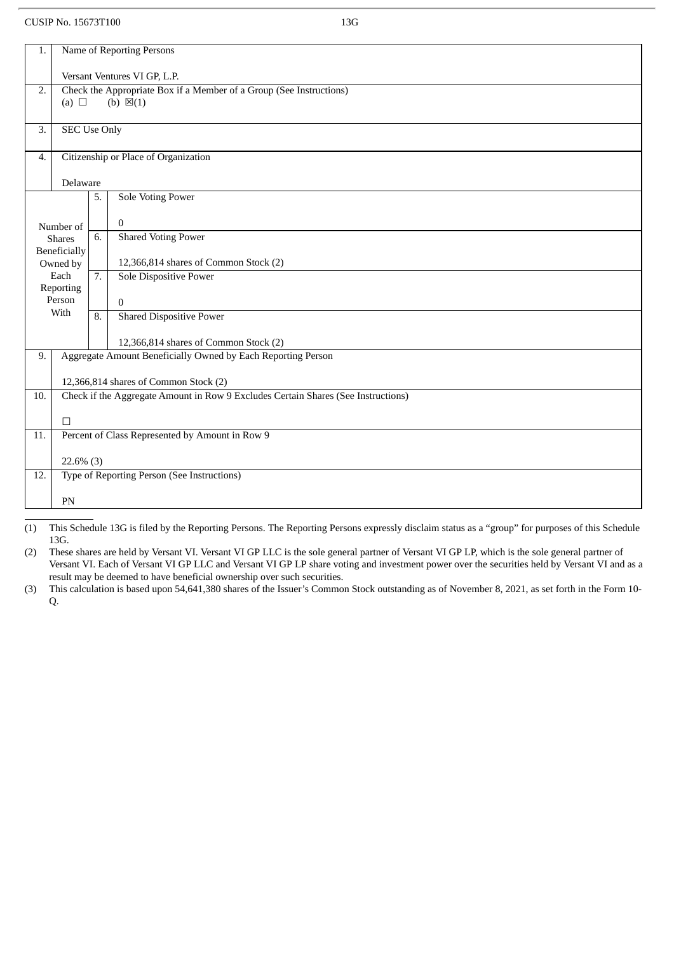| 1.                                                                        | Name of Reporting Persons                                                         |    |                                             |  |  |
|---------------------------------------------------------------------------|-----------------------------------------------------------------------------------|----|---------------------------------------------|--|--|
|                                                                           | Versant Ventures VI GP, L.P.                                                      |    |                                             |  |  |
| Check the Appropriate Box if a Member of a Group (See Instructions)<br>2. |                                                                                   |    |                                             |  |  |
|                                                                           | (b) $\boxtimes$ (1)<br>(a) $\Box$                                                 |    |                                             |  |  |
| 3.                                                                        | <b>SEC Use Only</b>                                                               |    |                                             |  |  |
| 4.                                                                        | Citizenship or Place of Organization                                              |    |                                             |  |  |
|                                                                           | Delaware                                                                          |    |                                             |  |  |
|                                                                           |                                                                                   | 5. | <b>Sole Voting Power</b>                    |  |  |
|                                                                           |                                                                                   |    | $\bf{0}$                                    |  |  |
|                                                                           | Number of<br><b>Shares</b>                                                        | 6. | <b>Shared Voting Power</b>                  |  |  |
| Beneficially                                                              |                                                                                   |    |                                             |  |  |
|                                                                           | Owned by                                                                          |    | 12,366,814 shares of Common Stock (2)       |  |  |
|                                                                           | Each<br>Reporting                                                                 | 7. | <b>Sole Dispositive Power</b>               |  |  |
|                                                                           | Person                                                                            |    | $\Omega$                                    |  |  |
|                                                                           | With                                                                              | 8. | <b>Shared Dispositive Power</b>             |  |  |
|                                                                           |                                                                                   |    |                                             |  |  |
|                                                                           |                                                                                   |    | 12,366,814 shares of Common Stock (2)       |  |  |
| 9.                                                                        | Aggregate Amount Beneficially Owned by Each Reporting Person                      |    |                                             |  |  |
|                                                                           | 12,366,814 shares of Common Stock (2)                                             |    |                                             |  |  |
| 10.                                                                       | Check if the Aggregate Amount in Row 9 Excludes Certain Shares (See Instructions) |    |                                             |  |  |
|                                                                           | $\Box$                                                                            |    |                                             |  |  |
| 11.                                                                       | Percent of Class Represented by Amount in Row 9                                   |    |                                             |  |  |
|                                                                           |                                                                                   |    |                                             |  |  |
| $22.6\%$ (3)                                                              |                                                                                   |    |                                             |  |  |
| 12.                                                                       |                                                                                   |    | Type of Reporting Person (See Instructions) |  |  |
|                                                                           |                                                                                   |    |                                             |  |  |
|                                                                           | PN                                                                                |    |                                             |  |  |

(1) This Schedule 13G is filed by the Reporting Persons. The Reporting Persons expressly disclaim status as a "group" for purposes of this Schedule 13G.

(2) These shares are held by Versant VI. Versant VI GP LLC is the sole general partner of Versant VI GP LP, which is the sole general partner of Versant VI. Each of Versant VI GP LLC and Versant VI GP LP share voting and investment power over the securities held by Versant VI and as a result may be deemed to have beneficial ownership over such securities.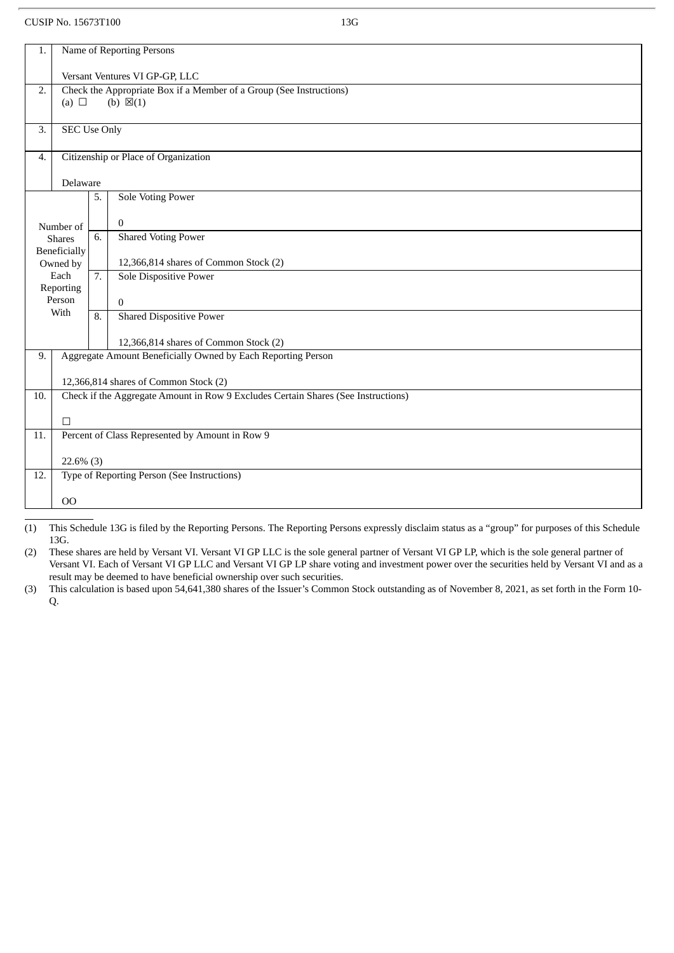|                                                                           | Name of Reporting Persons<br>1.                                                                                            |                  |                                                                        |  |  |
|---------------------------------------------------------------------------|----------------------------------------------------------------------------------------------------------------------------|------------------|------------------------------------------------------------------------|--|--|
|                                                                           | Versant Ventures VI GP-GP, LLC                                                                                             |                  |                                                                        |  |  |
| Check the Appropriate Box if a Member of a Group (See Instructions)<br>2. |                                                                                                                            |                  |                                                                        |  |  |
|                                                                           | (a) $\Box$<br>(b) $\boxtimes$ (1)                                                                                          |                  |                                                                        |  |  |
| 3.                                                                        | <b>SEC Use Only</b>                                                                                                        |                  |                                                                        |  |  |
| 4.                                                                        | Citizenship or Place of Organization                                                                                       |                  |                                                                        |  |  |
|                                                                           | Delaware                                                                                                                   |                  |                                                                        |  |  |
|                                                                           |                                                                                                                            | 5.               | <b>Sole Voting Power</b>                                               |  |  |
|                                                                           |                                                                                                                            |                  |                                                                        |  |  |
|                                                                           | Number of                                                                                                                  |                  | $\boldsymbol{0}$                                                       |  |  |
|                                                                           | <b>Shares</b>                                                                                                              | 6.               | <b>Shared Voting Power</b>                                             |  |  |
|                                                                           | Beneficially                                                                                                               |                  |                                                                        |  |  |
|                                                                           | Owned by<br>Each                                                                                                           | $\overline{7}$ . | 12,366,814 shares of Common Stock (2)<br><b>Sole Dispositive Power</b> |  |  |
|                                                                           | Reporting                                                                                                                  |                  |                                                                        |  |  |
|                                                                           | Person                                                                                                                     |                  | $\Omega$                                                               |  |  |
|                                                                           | With                                                                                                                       | 8.               | <b>Shared Dispositive Power</b>                                        |  |  |
|                                                                           |                                                                                                                            |                  | 12,366,814 shares of Common Stock (2)                                  |  |  |
| 9.                                                                        | Aggregate Amount Beneficially Owned by Each Reporting Person                                                               |                  |                                                                        |  |  |
|                                                                           |                                                                                                                            |                  |                                                                        |  |  |
| 10.                                                                       | 12,366,814 shares of Common Stock (2)<br>Check if the Aggregate Amount in Row 9 Excludes Certain Shares (See Instructions) |                  |                                                                        |  |  |
|                                                                           |                                                                                                                            |                  |                                                                        |  |  |
|                                                                           | $\Box$                                                                                                                     |                  |                                                                        |  |  |
| 11.                                                                       | Percent of Class Represented by Amount in Row 9                                                                            |                  |                                                                        |  |  |
|                                                                           | $22.6\%$ (3)                                                                                                               |                  |                                                                        |  |  |
| 12.                                                                       |                                                                                                                            |                  | Type of Reporting Person (See Instructions)                            |  |  |
|                                                                           |                                                                                                                            |                  |                                                                        |  |  |
|                                                                           | 00                                                                                                                         |                  |                                                                        |  |  |

(1) This Schedule 13G is filed by the Reporting Persons. The Reporting Persons expressly disclaim status as a "group" for purposes of this Schedule 13G.

(2) These shares are held by Versant VI. Versant VI GP LLC is the sole general partner of Versant VI GP LP, which is the sole general partner of Versant VI. Each of Versant VI GP LLC and Versant VI GP LP share voting and investment power over the securities held by Versant VI and as a result may be deemed to have beneficial ownership over such securities.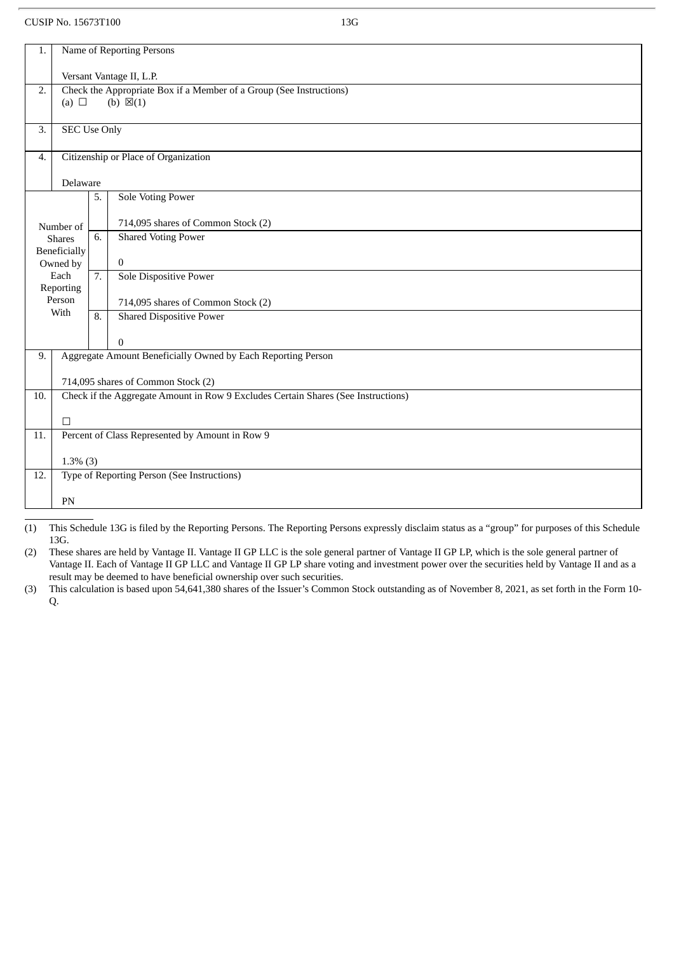| 1.                                                | Name of Reporting Persons                                                                       |    |                                             |  |  |
|---------------------------------------------------|-------------------------------------------------------------------------------------------------|----|---------------------------------------------|--|--|
|                                                   |                                                                                                 |    |                                             |  |  |
| 2.                                                | Versant Vantage II, L.P.<br>Check the Appropriate Box if a Member of a Group (See Instructions) |    |                                             |  |  |
|                                                   | (b) $\boxtimes$ (1)<br>(a) $\Box$                                                               |    |                                             |  |  |
|                                                   |                                                                                                 |    |                                             |  |  |
| 3.                                                | <b>SEC Use Only</b>                                                                             |    |                                             |  |  |
|                                                   |                                                                                                 |    |                                             |  |  |
|                                                   | Citizenship or Place of Organization<br>$\overline{4}$ .                                        |    |                                             |  |  |
|                                                   | Delaware                                                                                        |    |                                             |  |  |
|                                                   |                                                                                                 | 5. | <b>Sole Voting Power</b>                    |  |  |
|                                                   |                                                                                                 |    |                                             |  |  |
|                                                   | Number of                                                                                       |    | 714,095 shares of Common Stock (2)          |  |  |
|                                                   | <b>Shares</b>                                                                                   | 6. | <b>Shared Voting Power</b>                  |  |  |
|                                                   | Beneficially                                                                                    |    |                                             |  |  |
|                                                   | Owned by                                                                                        |    | $\bf{0}$                                    |  |  |
| Each<br>7.<br>Sole Dispositive Power<br>Reporting |                                                                                                 |    |                                             |  |  |
|                                                   | Person                                                                                          |    | 714,095 shares of Common Stock (2)          |  |  |
|                                                   | With                                                                                            | 8. | <b>Shared Dispositive Power</b>             |  |  |
|                                                   |                                                                                                 |    |                                             |  |  |
|                                                   |                                                                                                 |    | $\overline{0}$                              |  |  |
| 9.                                                | Aggregate Amount Beneficially Owned by Each Reporting Person                                    |    |                                             |  |  |
|                                                   |                                                                                                 |    |                                             |  |  |
|                                                   | 714,095 shares of Common Stock (2)                                                              |    |                                             |  |  |
| 10.                                               | Check if the Aggregate Amount in Row 9 Excludes Certain Shares (See Instructions)               |    |                                             |  |  |
|                                                   | $\Box$                                                                                          |    |                                             |  |  |
| 11.                                               | Percent of Class Represented by Amount in Row 9                                                 |    |                                             |  |  |
|                                                   |                                                                                                 |    |                                             |  |  |
|                                                   | $1.3\%$ (3)                                                                                     |    |                                             |  |  |
| 12.                                               |                                                                                                 |    | Type of Reporting Person (See Instructions) |  |  |
|                                                   |                                                                                                 |    |                                             |  |  |
|                                                   | PN                                                                                              |    |                                             |  |  |

(1) This Schedule 13G is filed by the Reporting Persons. The Reporting Persons expressly disclaim status as a "group" for purposes of this Schedule 13G.

(2) These shares are held by Vantage II. Vantage II GP LLC is the sole general partner of Vantage II GP LP, which is the sole general partner of Vantage II. Each of Vantage II GP LLC and Vantage II GP LP share voting and investment power over the securities held by Vantage II and as a result may be deemed to have beneficial ownership over such securities.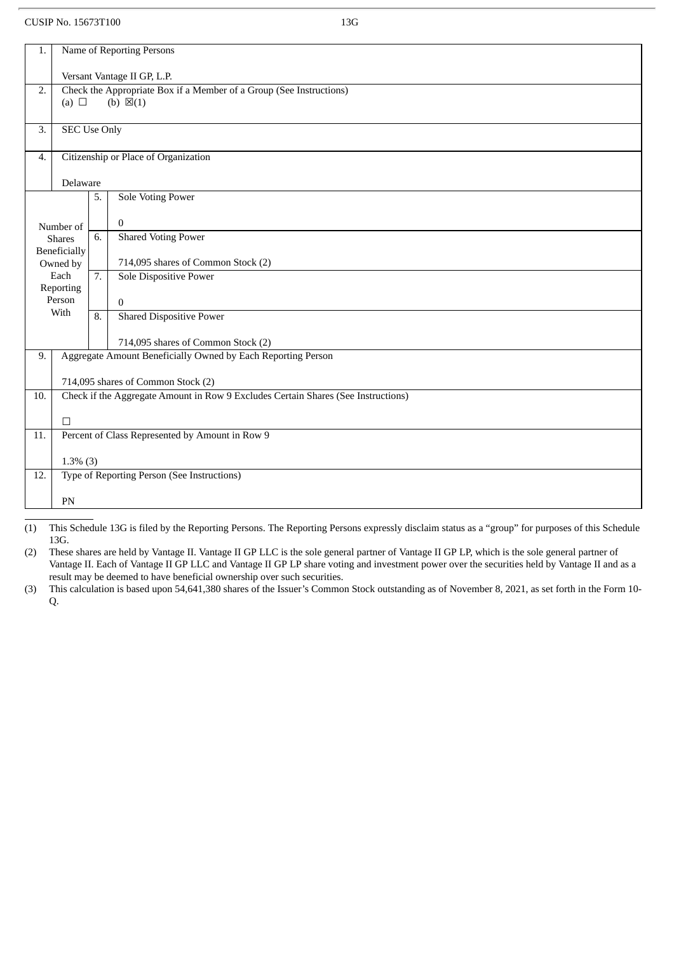| 1.                                                                        | Name of Reporting Persons                                                         |    |                                             |  |  |
|---------------------------------------------------------------------------|-----------------------------------------------------------------------------------|----|---------------------------------------------|--|--|
|                                                                           | Versant Vantage II GP, L.P.                                                       |    |                                             |  |  |
| Check the Appropriate Box if a Member of a Group (See Instructions)<br>2. |                                                                                   |    |                                             |  |  |
|                                                                           | (b) $\boxtimes$ (1)<br>(a) $\Box$                                                 |    |                                             |  |  |
| 3.                                                                        | <b>SEC Use Only</b>                                                               |    |                                             |  |  |
| 4.                                                                        | Citizenship or Place of Organization                                              |    |                                             |  |  |
|                                                                           | Delaware                                                                          |    |                                             |  |  |
|                                                                           |                                                                                   | 5. | <b>Sole Voting Power</b>                    |  |  |
|                                                                           |                                                                                   |    | $\bf{0}$                                    |  |  |
|                                                                           | Number of<br><b>Shares</b>                                                        | 6. | <b>Shared Voting Power</b>                  |  |  |
| Beneficially                                                              |                                                                                   |    |                                             |  |  |
|                                                                           | Owned by                                                                          |    | 714,095 shares of Common Stock (2)          |  |  |
|                                                                           | Each<br>Reporting                                                                 | 7. | Sole Dispositive Power                      |  |  |
|                                                                           | Person                                                                            |    | $\Omega$                                    |  |  |
|                                                                           | With                                                                              | 8. | <b>Shared Dispositive Power</b>             |  |  |
|                                                                           |                                                                                   |    |                                             |  |  |
|                                                                           |                                                                                   |    | 714,095 shares of Common Stock (2)          |  |  |
| 9.                                                                        | Aggregate Amount Beneficially Owned by Each Reporting Person                      |    |                                             |  |  |
|                                                                           | 714,095 shares of Common Stock (2)                                                |    |                                             |  |  |
| 10.                                                                       | Check if the Aggregate Amount in Row 9 Excludes Certain Shares (See Instructions) |    |                                             |  |  |
|                                                                           | $\Box$                                                                            |    |                                             |  |  |
| 11.                                                                       | Percent of Class Represented by Amount in Row 9                                   |    |                                             |  |  |
|                                                                           |                                                                                   |    |                                             |  |  |
|                                                                           | $1.3\%$ (3)                                                                       |    |                                             |  |  |
| 12.                                                                       |                                                                                   |    | Type of Reporting Person (See Instructions) |  |  |
|                                                                           | PN                                                                                |    |                                             |  |  |
|                                                                           |                                                                                   |    |                                             |  |  |

(1) This Schedule 13G is filed by the Reporting Persons. The Reporting Persons expressly disclaim status as a "group" for purposes of this Schedule 13G.

(2) These shares are held by Vantage II. Vantage II GP LLC is the sole general partner of Vantage II GP LP, which is the sole general partner of Vantage II. Each of Vantage II GP LLC and Vantage II GP LP share voting and investment power over the securities held by Vantage II and as a result may be deemed to have beneficial ownership over such securities.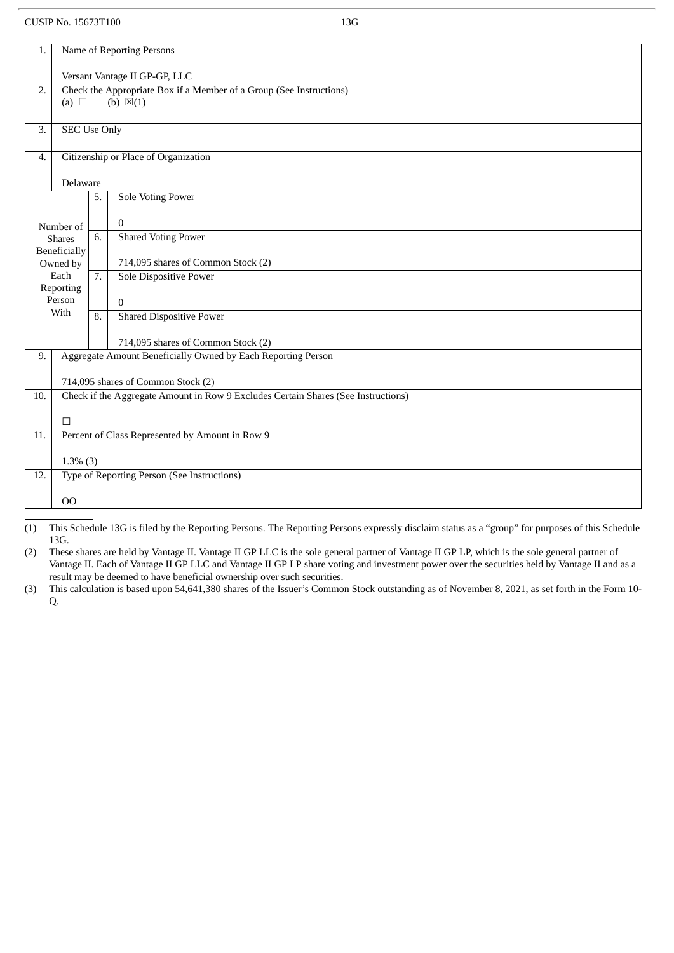| 1.                                         |                                                                                                          | Name of Reporting Persons |                                             |  |  |  |
|--------------------------------------------|----------------------------------------------------------------------------------------------------------|---------------------------|---------------------------------------------|--|--|--|
|                                            | Versant Vantage II GP-GP, LLC                                                                            |                           |                                             |  |  |  |
| 2.                                         | Check the Appropriate Box if a Member of a Group (See Instructions)<br>(a) $\Box$<br>(b) $\boxtimes$ (1) |                           |                                             |  |  |  |
| 3.                                         | <b>SEC Use Only</b>                                                                                      |                           |                                             |  |  |  |
| Citizenship or Place of Organization<br>4. |                                                                                                          |                           |                                             |  |  |  |
|                                            | Delaware                                                                                                 |                           |                                             |  |  |  |
| <b>Sole Voting Power</b><br>5.             |                                                                                                          |                           |                                             |  |  |  |
|                                            | Number of                                                                                                |                           | $\bf{0}$                                    |  |  |  |
|                                            | <b>Shares</b>                                                                                            | 6.                        | <b>Shared Voting Power</b>                  |  |  |  |
|                                            | Beneficially<br>Owned by                                                                                 |                           | 714,095 shares of Common Stock (2)          |  |  |  |
|                                            | Each                                                                                                     | 7.                        | Sole Dispositive Power                      |  |  |  |
|                                            | Reporting<br>Person                                                                                      |                           | $\Omega$                                    |  |  |  |
|                                            | With                                                                                                     | 8.                        | <b>Shared Dispositive Power</b>             |  |  |  |
|                                            |                                                                                                          |                           | 714,095 shares of Common Stock (2)          |  |  |  |
| 9.                                         | Aggregate Amount Beneficially Owned by Each Reporting Person<br>714,095 shares of Common Stock (2)       |                           |                                             |  |  |  |
|                                            |                                                                                                          |                           |                                             |  |  |  |
| 10.                                        | Check if the Aggregate Amount in Row 9 Excludes Certain Shares (See Instructions)                        |                           |                                             |  |  |  |
|                                            | $\Box$                                                                                                   |                           |                                             |  |  |  |
| 11.                                        | Percent of Class Represented by Amount in Row 9                                                          |                           |                                             |  |  |  |
|                                            | $1.3\%$ (3)                                                                                              |                           |                                             |  |  |  |
| 12.                                        |                                                                                                          |                           | Type of Reporting Person (See Instructions) |  |  |  |
|                                            |                                                                                                          |                           |                                             |  |  |  |
|                                            | 00                                                                                                       |                           |                                             |  |  |  |

(1) This Schedule 13G is filed by the Reporting Persons. The Reporting Persons expressly disclaim status as a "group" for purposes of this Schedule 13G.

(2) These shares are held by Vantage II. Vantage II GP LLC is the sole general partner of Vantage II GP LP, which is the sole general partner of Vantage II. Each of Vantage II GP LLC and Vantage II GP LP share voting and investment power over the securities held by Vantage II and as a result may be deemed to have beneficial ownership over such securities.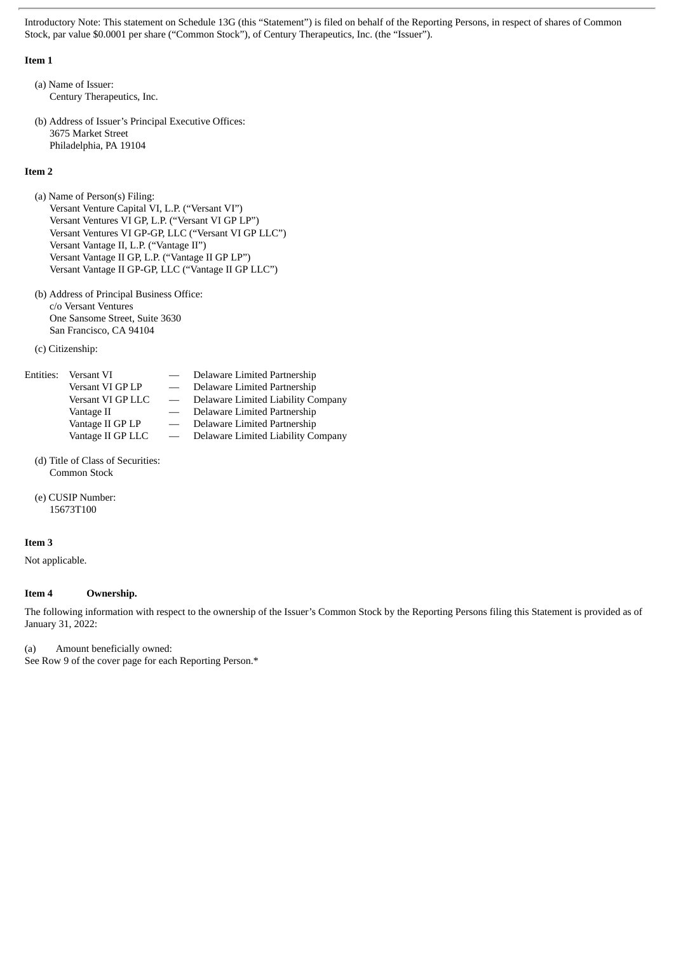Introductory Note: This statement on Schedule 13G (this "Statement") is filed on behalf of the Reporting Persons, in respect of shares of Common Stock, par value \$0.0001 per share ("Common Stock"), of Century Therapeutics, Inc. (the "Issuer").

#### **Item 1**

(a) Name of Issuer: Century Therapeutics, Inc.

(b) Address of Issuer's Principal Executive Offices: 3675 Market Street Philadelphia, PA 19104

#### **Item 2**

(a) Name of Person(s) Filing: Versant Venture Capital VI, L.P. ("Versant VI") Versant Ventures VI GP, L.P. ("Versant VI GP LP") Versant Ventures VI GP-GP, LLC ("Versant VI GP LLC") Versant Vantage II, L.P. ("Vantage II") Versant Vantage II GP, L.P. ("Vantage II GP LP") Versant Vantage II GP-GP, LLC ("Vantage II GP LLC")

(b) Address of Principal Business Office: c/o Versant Ventures One Sansome Street, Suite 3630 San Francisco, CA 94104

(c) Citizenship:

| Entities: Versant VI | $\overline{\phantom{m}}$        | Delaware Limited Partnership       |
|----------------------|---------------------------------|------------------------------------|
| Versant VI GP LP     |                                 | Delaware Limited Partnership       |
| Versant VI GP LLC    | $\overline{\phantom{a}}$        | Delaware Limited Liability Company |
| Vantage II           | $\overline{\phantom{0}}$        | Delaware Limited Partnership       |
| Vantage II GP LP     | $\hspace{0.1mm}-\hspace{0.1mm}$ | Delaware Limited Partnership       |
| Vantage II GP LLC    |                                 | Delaware Limited Liability Company |
|                      |                                 |                                    |

- (d) Title of Class of Securities: Common Stock
- (e) CUSIP Number: 15673T100

#### **Item 3**

Not applicable.

#### **Item 4 Ownership.**

The following information with respect to the ownership of the Issuer's Common Stock by the Reporting Persons filing this Statement is provided as of January 31, 2022:

(a) Amount beneficially owned:

See Row 9 of the cover page for each Reporting Person.\*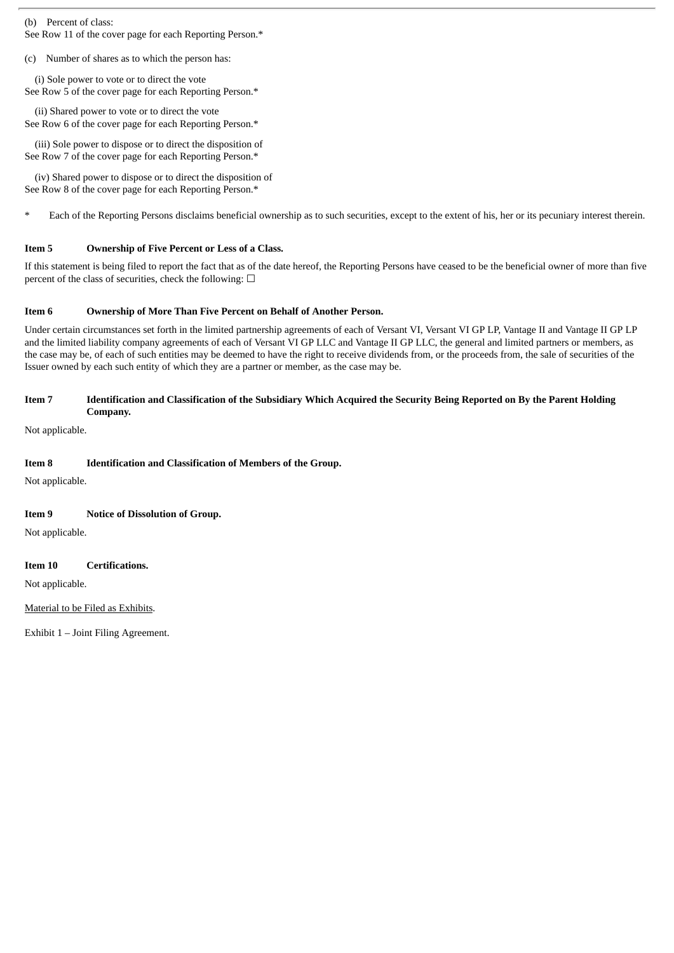(b) Percent of class:

See Row 11 of the cover page for each Reporting Person.\*

(c) Number of shares as to which the person has:

(i) Sole power to vote or to direct the vote See Row 5 of the cover page for each Reporting Person.\*

(ii) Shared power to vote or to direct the vote See Row 6 of the cover page for each Reporting Person.\*

(iii) Sole power to dispose or to direct the disposition of See Row 7 of the cover page for each Reporting Person.\*

(iv) Shared power to dispose or to direct the disposition of See Row 8 of the cover page for each Reporting Person.\*

Each of the Reporting Persons disclaims beneficial ownership as to such securities, except to the extent of his, her or its pecuniary interest therein.

#### **Item 5 Ownership of Five Percent or Less of a Class.**

If this statement is being filed to report the fact that as of the date hereof, the Reporting Persons have ceased to be the beneficial owner of more than five percent of the class of securities, check the following:  $\Box$ 

#### **Item 6 Ownership of More Than Five Percent on Behalf of Another Person.**

Under certain circumstances set forth in the limited partnership agreements of each of Versant VI, Versant VI GP LP, Vantage II and Vantage II GP LP and the limited liability company agreements of each of Versant VI GP LLC and Vantage II GP LLC, the general and limited partners or members, as the case may be, of each of such entities may be deemed to have the right to receive dividends from, or the proceeds from, the sale of securities of the Issuer owned by each such entity of which they are a partner or member, as the case may be.

#### Item 7 Identification and Classification of the Subsidiary Which Acquired the Security Being Reported on By the Parent Holding **Company.**

Not applicable.

#### **Item 8 Identification and Classification of Members of the Group.**

Not applicable.

#### **Item 9 Notice of Dissolution of Group.**

Not applicable.

#### **Item 10 Certifications.**

Not applicable.

#### Material to be Filed as Exhibits.

Exhibit 1 – Joint Filing Agreement.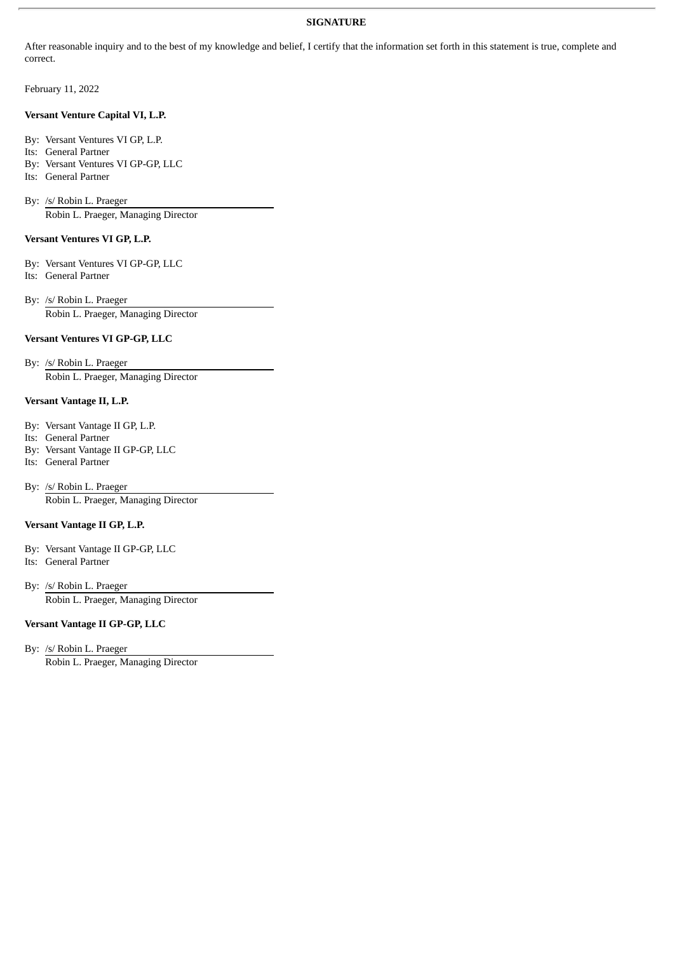#### **SIGNATURE**

After reasonable inquiry and to the best of my knowledge and belief, I certify that the information set forth in this statement is true, complete and correct.

February 11, 2022

#### **Versant Venture Capital VI, L.P.**

- By: Versant Ventures VI GP, L.P.
- Its: General Partner
- By: Versant Ventures VI GP-GP, LLC
- Its: General Partner

By: /s/ Robin L. Praeger Robin L. Praeger, Managing Director

#### **Versant Ventures VI GP, L.P.**

By: Versant Ventures VI GP-GP, LLC Its: General Partner

By: /s/ Robin L. Praeger Robin L. Praeger, Managing Director

#### **Versant Ventures VI GP-GP, LLC**

By: /s/ Robin L. Praeger

Robin L. Praeger, Managing Director

#### **Versant Vantage II, L.P.**

By: Versant Vantage II GP, L.P.

- Its: General Partner
- By: Versant Vantage II GP-GP, LLC
- Its: General Partner

By: /s/ Robin L. Praeger Robin L. Praeger, Managing Director

#### **Versant Vantage II GP, L.P.**

- By: Versant Vantage II GP-GP, LLC
- Its: General Partner
- By: /s/ Robin L. Praeger Robin L. Praeger, Managing Director

#### **Versant Vantage II GP-GP, LLC**

By: /s/ Robin L. Praeger

Robin L. Praeger, Managing Director